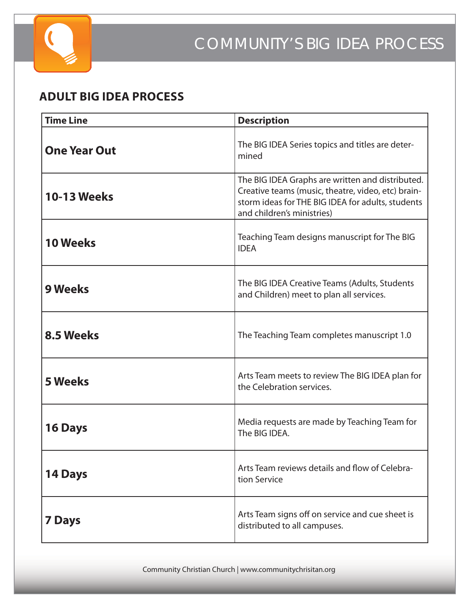

#### **ADULT BIG IDEA PROCESS**

| <b>Time Line</b>    | <b>Description</b>                                                                                                                                                                        |
|---------------------|-------------------------------------------------------------------------------------------------------------------------------------------------------------------------------------------|
| <b>One Year Out</b> | The BIG IDEA Series topics and titles are deter-<br>mined                                                                                                                                 |
| <b>10-13 Weeks</b>  | The BIG IDEA Graphs are written and distributed.<br>Creative teams (music, theatre, video, etc) brain-<br>storm ideas for THE BIG IDEA for adults, students<br>and children's ministries) |
| <b>10 Weeks</b>     | Teaching Team designs manuscript for The BIG<br><b>IDEA</b>                                                                                                                               |
| <b>9 Weeks</b>      | The BIG IDEA Creative Teams (Adults, Students<br>and Children) meet to plan all services.                                                                                                 |
| 8.5 Weeks           | The Teaching Team completes manuscript 1.0                                                                                                                                                |
| <b>5 Weeks</b>      | Arts Team meets to review The BIG IDEA plan for<br>the Celebration services.                                                                                                              |
| <b>16 Days</b>      | Media requests are made by Teaching Team for<br>The BIG IDEA.                                                                                                                             |
| 14 Days             | Arts Team reviews details and flow of Celebra-<br>tion Service                                                                                                                            |
| <b>7 Days</b>       | Arts Team signs off on service and cue sheet is<br>distributed to all campuses.                                                                                                           |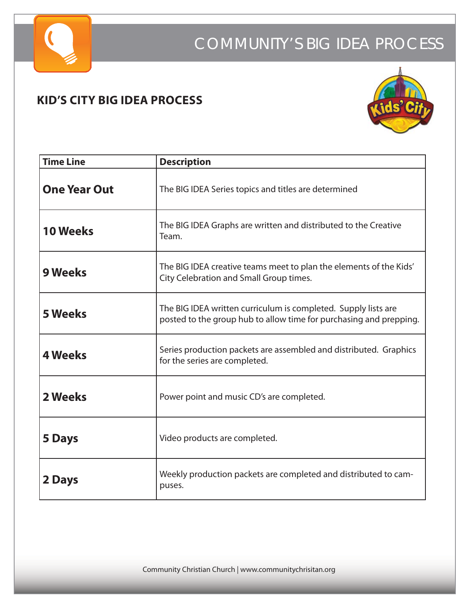

## COMMUNITY'S BIG IDEA PROCESS

#### **KID'S CITY BIG IDEA PROCESS**



| <b>Time Line</b>    | <b>Description</b>                                                                                                                   |
|---------------------|--------------------------------------------------------------------------------------------------------------------------------------|
| <b>One Year Out</b> | The BIG IDEA Series topics and titles are determined                                                                                 |
| <b>10 Weeks</b>     | The BIG IDEA Graphs are written and distributed to the Creative<br>Team.                                                             |
| <b>9 Weeks</b>      | The BIG IDEA creative teams meet to plan the elements of the Kids'<br>City Celebration and Small Group times.                        |
| <b>5 Weeks</b>      | The BIG IDEA written curriculum is completed. Supply lists are<br>posted to the group hub to allow time for purchasing and prepping. |
| <b>4 Weeks</b>      | Series production packets are assembled and distributed. Graphics<br>for the series are completed.                                   |
| 2 Weeks             | Power point and music CD's are completed.                                                                                            |
| <b>5 Days</b>       | Video products are completed.                                                                                                        |
| 2 Days              | Weekly production packets are completed and distributed to cam-<br>puses.                                                            |